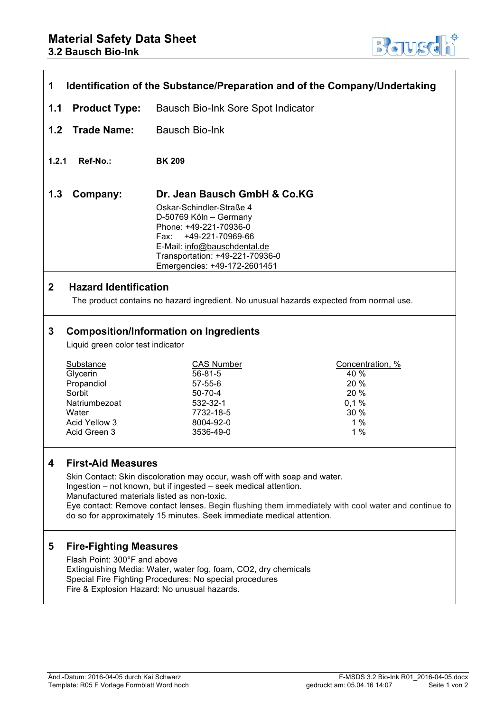

| 1<br>Identification of the Substance/Preparation and of the Company/Undertaking                                                         |                                                                                                                                                                                                                                                                                                                                                                                                           |                                                                                                                                                                                                                                             |                                                                      |  |
|-----------------------------------------------------------------------------------------------------------------------------------------|-----------------------------------------------------------------------------------------------------------------------------------------------------------------------------------------------------------------------------------------------------------------------------------------------------------------------------------------------------------------------------------------------------------|---------------------------------------------------------------------------------------------------------------------------------------------------------------------------------------------------------------------------------------------|----------------------------------------------------------------------|--|
| 1.1                                                                                                                                     | <b>Product Type:</b><br>Bausch Bio-Ink Sore Spot Indicator                                                                                                                                                                                                                                                                                                                                                |                                                                                                                                                                                                                                             |                                                                      |  |
| 1.2                                                                                                                                     | <b>Trade Name:</b>                                                                                                                                                                                                                                                                                                                                                                                        | <b>Bausch Bio-Ink</b>                                                                                                                                                                                                                       |                                                                      |  |
| 1.2.1                                                                                                                                   | Ref-No.:                                                                                                                                                                                                                                                                                                                                                                                                  | <b>BK 209</b>                                                                                                                                                                                                                               |                                                                      |  |
| 1.3                                                                                                                                     | Company:                                                                                                                                                                                                                                                                                                                                                                                                  | Dr. Jean Bausch GmbH & Co.KG<br>Oskar-Schindler-Straße 4<br>D-50769 Köln - Germany<br>Phone: +49-221-70936-0<br>+49-221-70969-66<br>Fax:<br>E-Mail: info@bauschdental.de<br>Transportation: +49-221-70936-0<br>Emergencies: +49-172-2601451 |                                                                      |  |
| $\mathbf{2}$<br><b>Hazard Identification</b><br>The product contains no hazard ingredient. No unusual hazards expected from normal use. |                                                                                                                                                                                                                                                                                                                                                                                                           |                                                                                                                                                                                                                                             |                                                                      |  |
| 3                                                                                                                                       | Liquid green color test indicator<br>Substance<br>Glycerin<br>Propandiol<br>Sorbit<br>Natriumbezoat<br>Water<br>Acid Yellow 3<br>Acid Green 3                                                                                                                                                                                                                                                             | <b>Composition/Information on Ingredients</b><br><b>CAS Number</b><br>$56 - 81 - 5$<br>$57 - 55 - 6$<br>$50 - 70 - 4$<br>532-32-1<br>7732-18-5<br>8004-92-0<br>3536-49-0                                                                    | Concentration, %<br>40 %<br>20 %<br>20 %<br>0,1%<br>30 %<br>1%<br>1% |  |
| 4                                                                                                                                       | <b>First-Aid Measures</b><br>Skin Contact: Skin discoloration may occur, wash off with soap and water.<br>Ingestion - not known, but if ingested - seek medical attention.<br>Manufactured materials listed as non-toxic.<br>Eye contact: Remove contact lenses. Begin flushing them immediately with cool water and continue to<br>do so for approximately 15 minutes. Seek immediate medical attention. |                                                                                                                                                                                                                                             |                                                                      |  |
| 5                                                                                                                                       | <b>Fire-Fighting Measures</b><br>Flash Point: 300°F and above<br>Extinguishing Media: Water, water fog, foam, CO2, dry chemicals<br>Special Fire Fighting Procedures: No special procedures<br>Fire & Explosion Hazard: No unusual hazards.                                                                                                                                                               |                                                                                                                                                                                                                                             |                                                                      |  |